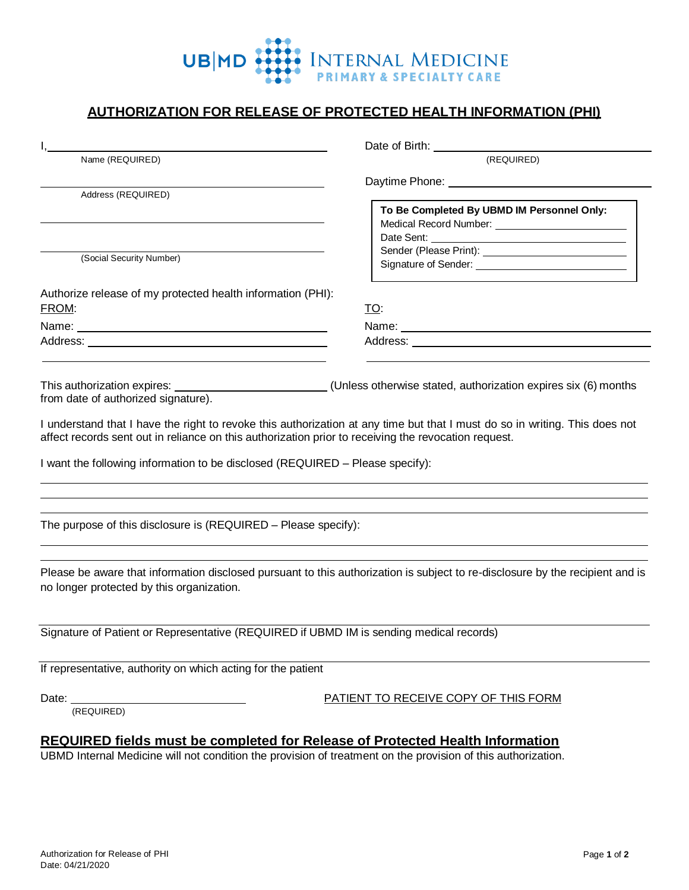

## **AUTHORIZATION FOR RELEASE OF PROTECTED HEALTH INFORMATION (PHI)**

|                                                                                                                                                                                                                                                                                                                                                                                                                                                                                      | Date of Birth: <u>contract and the set of Birth:</u>                                                                                                                                                                          |
|--------------------------------------------------------------------------------------------------------------------------------------------------------------------------------------------------------------------------------------------------------------------------------------------------------------------------------------------------------------------------------------------------------------------------------------------------------------------------------------|-------------------------------------------------------------------------------------------------------------------------------------------------------------------------------------------------------------------------------|
| Name (REQUIRED)                                                                                                                                                                                                                                                                                                                                                                                                                                                                      | (REQUIRED)                                                                                                                                                                                                                    |
|                                                                                                                                                                                                                                                                                                                                                                                                                                                                                      |                                                                                                                                                                                                                               |
| Address (REQUIRED)                                                                                                                                                                                                                                                                                                                                                                                                                                                                   | To Be Completed By UBMD IM Personnel Only:                                                                                                                                                                                    |
| (Social Security Number)                                                                                                                                                                                                                                                                                                                                                                                                                                                             |                                                                                                                                                                                                                               |
| Authorize release of my protected health information (PHI):                                                                                                                                                                                                                                                                                                                                                                                                                          |                                                                                                                                                                                                                               |
| FROM:                                                                                                                                                                                                                                                                                                                                                                                                                                                                                | <u>TO:</u>                                                                                                                                                                                                                    |
| Name: Name: Name: Name: Name: Name: Name: Name: Name: Name: Name: Name: Name: Name: Name: Name: Name: Name: Name: Name: Name: Name: Name: Name: Name: Name: Name: Name: Name: Name: Name: Name: Name: Name: Name: Name: Name:                                                                                                                                                                                                                                                        | Name: Name: Name: Name: Name: Name: Name: Name: Name: Name: Name: Name: Name: Name: Name: Name: Name: Name: Name: Name: Name: Name: Name: Name: Name: Name: Name: Name: Name: Name: Name: Name: Name: Name: Name: Name: Name: |
|                                                                                                                                                                                                                                                                                                                                                                                                                                                                                      |                                                                                                                                                                                                                               |
| This authorization expires: ___________________________(Unless otherwise stated, authorization expires six (6) months<br>from date of authorized signature).<br>I understand that I have the right to revoke this authorization at any time but that I must do so in writing. This does not<br>affect records sent out in reliance on this authorization prior to receiving the revocation request.<br>I want the following information to be disclosed (REQUIRED – Please specify): |                                                                                                                                                                                                                               |
| The purpose of this disclosure is (REQUIRED - Please specify):                                                                                                                                                                                                                                                                                                                                                                                                                       |                                                                                                                                                                                                                               |
| Please be aware that information disclosed pursuant to this authorization is subject to re-disclosure by the recipient and is<br>no longer protected by this organization.                                                                                                                                                                                                                                                                                                           |                                                                                                                                                                                                                               |
| Signature of Patient or Representative (REQUIRED if UBMD IM is sending medical records)                                                                                                                                                                                                                                                                                                                                                                                              |                                                                                                                                                                                                                               |
| If representative, authority on which acting for the patient                                                                                                                                                                                                                                                                                                                                                                                                                         |                                                                                                                                                                                                                               |
| Date: <u>__________________________________</u><br>(REQUIRED)                                                                                                                                                                                                                                                                                                                                                                                                                        | PATIENT TO RECEIVE COPY OF THIS FORM                                                                                                                                                                                          |
| <b>REQUIRED fields must be completed for Release of Protected Health Information</b><br>UBMD Internal Medicine will not condition the provision of treatment on the provision of this authorization.                                                                                                                                                                                                                                                                                 |                                                                                                                                                                                                                               |